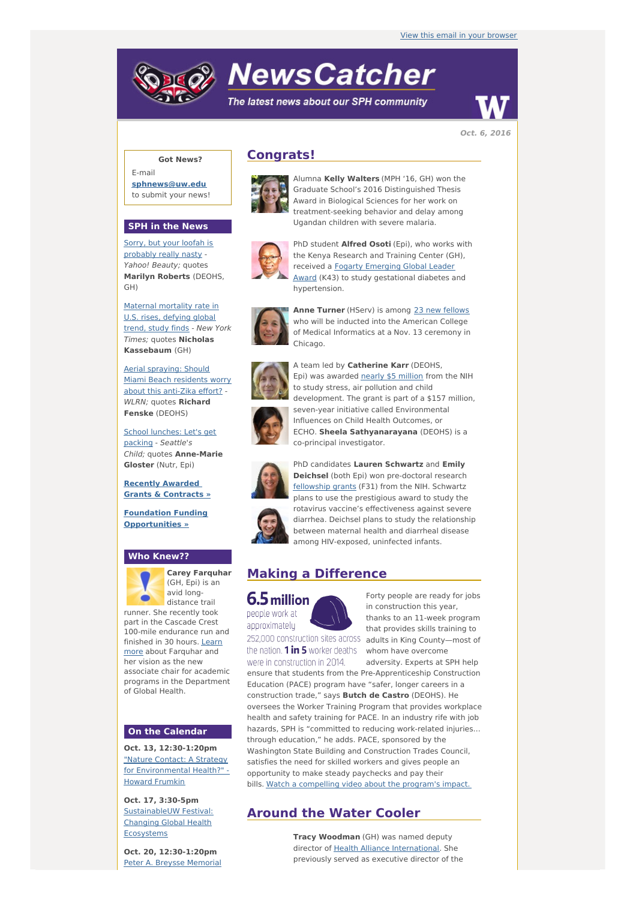# **NewsCatcher**

The latest news about our SPH community



**Oct. 6, 2016**

## **Got News?**

E-mail **[sphnews@uw.edu](mailto:sphnews@uw.edu)** to submit your news!

#### **SPH in the News**

Sorry, but your loofah is [probably](http://engage.washington.edu/site/R?i=wM4wzIqKLX3ov63J1xhlNQ) really nasty - Yahoo! Beauty; quotes **Marilyn Roberts** (DEOHS, GH)

Maternal [mortality](http://engage.washington.edu/site/R?i=OH2JkdXt7K5C6UFdgrflag) rate in U.S. rises, defying global trend, study finds - New York Times; quotes **Nicholas Kassebaum** (GH)

Aerial [spraying:](http://engage.washington.edu/site/R?i=ZK3swUW8jdfFFCEaCe8vkA) Should Miami Beach residents worry about this anti-Zika effort? - WLRN; quotes **Richard Fenske** (DEOHS)

School [lunches:](http://engage.washington.edu/site/R?i=0-y6qJoxRiSMUItamrrDWw) Let's get packing - Seattle's Child; quotes **Anne-Marie Gloster** (Nutr, Epi)

**Recently [Awarded](http://engage.washington.edu/site/R?i=SLbPkxWutjK2h7LZPDBREg) Grants & Contracts »**

**Foundation Funding [Opportunities](http://engage.washington.edu/site/R?i=UDDaL986Cbu0mkjDhQC0zw) »**

### **Who Knew??**



**Carey Farquhar** (GH, Epi) is an avid longdistance trail

runner. She recently took part in the Cascade Crest 100-mile endurance run and finished in 30 hours. Learn more about [Farquhar](http://engage.washington.edu/site/R?i=raJT4VbIBbsgd6am4b4M5Q) and her vision as the new associate chair for academic programs in the Department of Global Health.

#### **On the Calendar**

**Oct. 13, 12:30-1:20pm** "Nature Contact: A Strategy for [Environmental](http://engage.washington.edu/site/R?i=TPSf7fIihhlZxd6ppKqncA) Health?" - Howard Frumkin

**Oct. 17, 3:30-5pm** [SustainableUW](http://engage.washington.edu/site/R?i=G9Ml6XK5PCaRphNI7whEzA) Festival: Changing Global Health **Ecosystems** 

**Oct. 20, 12:30-1:20pm** Peter A. Breysse Memorial

# **Congrats!**



Alumna **Kelly Walters** (MPH '16, GH) won the Graduate School's 2016 Distinguished Thesis Award in Biological Sciences for her work on treatment-seeking behavior and delay among Ugandan children with severe malaria.



PhD student **Alfred Osoti** (Epi), who works with the Kenya Research and Training Center (GH), received a Fogarty Emerging Global Leader Award (K43) to study [gestational](http://engage.washington.edu/site/R?i=fp14Ox1tSXU1M5pd9vq55g) diabetes and hypertension.



**Anne Turner** (HServ) is among 23 new [fellows](http://engage.washington.edu/site/R?i=cTnaTHc7zCaBYIM_eLQwyA) who will be inducted into the American College of Medical Informatics at a Nov. 13 ceremony in Chicago.

A team led by **Catherine Karr** (DEOHS, Epi) was awarded nearly \$5 [million](http://engage.washington.edu/site/R?i=onD7oaJkUb07-xVZ2qN-Rw) from the NIH



to study stress, air pollution and child development. The grant is part of a \$157 million, seven-year initiative called Environmental Influences on Child Health Outcomes, or ECHO. **Sheela Sathyanarayana** (DEOHS) is a co-principal investigator.



PhD candidates **Lauren Schwartz** and **Emily Deichsel** (both Epi) won pre-doctoral research [fellowship](http://engage.washington.edu/site/R?i=uDZGcovWmicJkTFJktJuow) grants (F31) from the NIH. Schwartz plans to use the prestigious award to study the rotavirus vaccine's effectiveness against severe diarrhea. Deichsel plans to study the relationship between maternal health and diarrheal disease among HIV-exposed, uninfected infants.

# **Making a Difference**



people work at approximately

in construction this year, that provides skills training to 252,000 construction sites across adults in King County-most of the nation.  $1$  in 5 worker deaths  $\omega$  whom have overcome

were in construction in 2014. adversity. Experts at SPH help ensure that students from the Pre-Apprenticeship Construction Education (PACE) program have "safer, longer careers in a construction trade," says **Butch de Castro** (DEOHS). He oversees the Worker Training Program that provides workplace health and safety training for PACE. In an industry rife with job hazards, SPH is "committed to reducing work-related injuries… through education," he adds. PACE, sponsored by the Washington State Building and Construction Trades Council, satisfies the need for skilled workers and gives people an opportunity to make steady paychecks and pay their bills. Watch a [compelling](http://engage.washington.edu/site/R?i=CADuhmNzyXPGyLvxeqEV1g) video about the program's impact.

# **Around the Water Cooler**

**Tracy Woodman** (GH) was named deputy director of Health Alliance [International](http://engage.washington.edu/site/R?i=6h0wl2_MPlXihoqxWj9aGw). She previously served as executive director of the

Forty people are ready for jobs thanks to an 11-week program